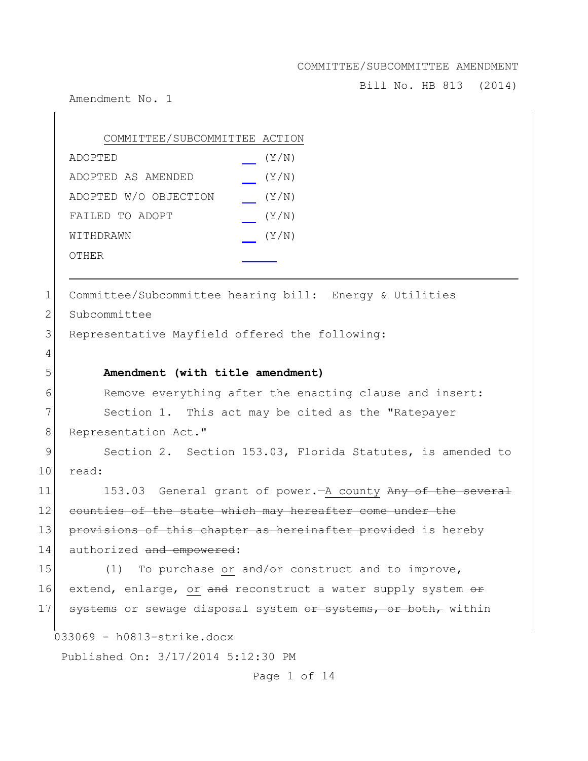Bill No. HB 813 (2014)

Amendment No. 1

|             | COMMITTEE/SUBCOMMITTEE ACTION                           |
|-------------|---------------------------------------------------------|
|             | (Y/N)<br>ADOPTED                                        |
|             | (Y/N)<br>ADOPTED AS AMENDED                             |
|             | ADOPTED W/O OBJECTION<br>(Y/N)                          |
|             | (Y/N)<br>FAILED TO ADOPT                                |
|             | (Y/N)<br>WITHDRAWN                                      |
|             | OTHER                                                   |
|             |                                                         |
| $\mathbf 1$ | Committee/Subcommittee hearing bill: Energy & Utilities |
| 2           | Subcommittee                                            |
| 3           | Representative Mayfield offered the following:          |
| 4           |                                                         |
| 5           | Amendment (with title amendment)                        |
| 6           | Remove everything after the enacting clause and insert: |
|             |                                                         |

7 Section 1. This act may be cited as the "Ratepayer 8 Representation Act."

9 Section 2. Section 153.03, Florida Statutes, is amended to 10 read:

11 153.03 General grant of power. - A county Any of the several 12 counties of the state which may hereafter come under the 13 provisions of this chapter as hereinafter provided is hereby 14 authorized and empowered:

15  $(1)$  To purchase or  $\frac{and}{\pi}$  construct and to improve, 16 extend, enlarge, or and reconstruct a water supply system or 17 systems or sewage disposal system or systems, or both, within

033069 - h0813-strike.docx

Published On: 3/17/2014 5:12:30 PM

Page 1 of 14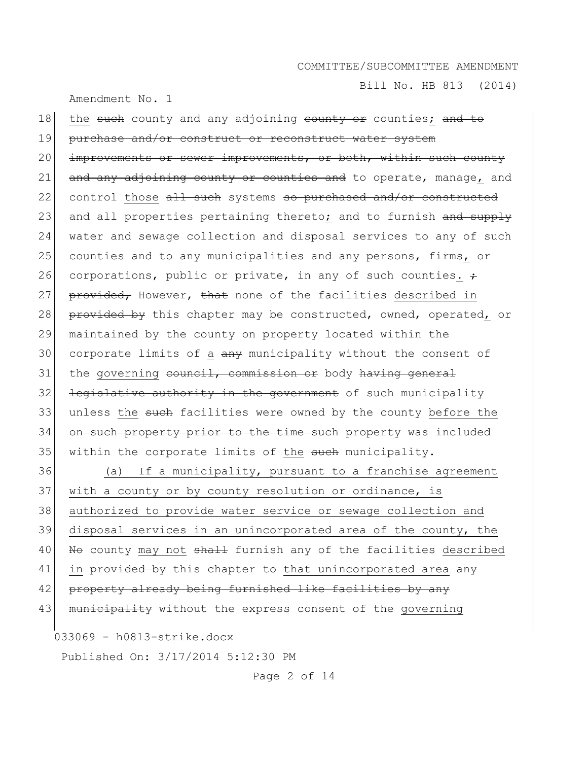Bill No. HB 813 (2014)

Amendment No. 1

| 18 | the such county and any adjoining county or counties; and to     |
|----|------------------------------------------------------------------|
| 19 | purchase and/or construct or reconstruct water system            |
| 20 | improvements or sewer improvements, or both, within such county  |
| 21 | and any adjoining county or counties and to operate, manage, and |
| 22 | control those all such systems so purchased and/or constructed   |
| 23 | and all properties pertaining thereto; and to furnish and supply |
| 24 | water and sewage collection and disposal services to any of such |
| 25 | counties and to any municipalities and any persons, firms, or    |
| 26 | corporations, public or private, in any of such counties. $\div$ |
| 27 | provided, However, that none of the facilities described in      |
| 28 | provided by this chapter may be constructed, owned, operated, or |
| 29 | maintained by the county on property located within the          |
| 30 | corporate limits of a any municipality without the consent of    |
| 31 | the governing council, commission or body having general         |
| 32 | legislative authority in the government of such municipality     |
| 33 | unless the such facilities were owned by the county before the   |
| 34 | on such property prior to the time such property was included    |
| 35 | within the corporate limits of the such municipality.            |
| 36 | If a municipality, pursuant to a franchise agreement<br>(a)      |
| 37 | with a county or by county resolution or ordinance, is           |
| 38 | authorized to provide water service or sewage collection and     |
| 39 | disposal services in an unincorporated area of the county, the   |
| 40 | No county may not shall furnish any of the facilities described  |
| 41 | in provided by this chapter to that unincorporated area any      |
| 42 | property already being furnished like facilities by any          |
| 43 | municipality without the express consent of the governing        |
|    |                                                                  |

033069 - h0813-strike.docx

Published On: 3/17/2014 5:12:30 PM

Page 2 of 14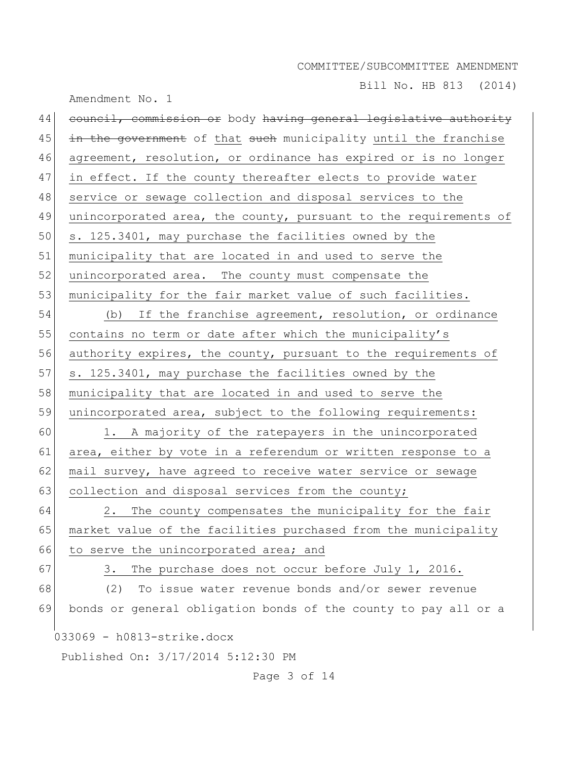Bill No. HB 813 (2014)

|    | Amendment No. 1                                                  |
|----|------------------------------------------------------------------|
| 44 | council, commission or body having general legislative authority |
| 45 | in the government of that such municipality until the franchise  |
| 46 | agreement, resolution, or ordinance has expired or is no longer  |
| 47 | in effect. If the county thereafter elects to provide water      |
| 48 | service or sewage collection and disposal services to the        |
| 49 | unincorporated area, the county, pursuant to the requirements of |
| 50 | s. 125.3401, may purchase the facilities owned by the            |
| 51 | municipality that are located in and used to serve the           |
| 52 | unincorporated area. The county must compensate the              |
| 53 | municipality for the fair market value of such facilities.       |
| 54 | (b) If the franchise agreement, resolution, or ordinance         |
| 55 | contains no term or date after which the municipality's          |
| 56 | authority expires, the county, pursuant to the requirements of   |
| 57 | s. 125.3401, may purchase the facilities owned by the            |
| 58 | municipality that are located in and used to serve the           |
| 59 | unincorporated area, subject to the following requirements:      |
| 60 | 1. A majority of the ratepayers in the unincorporated            |
| 61 | area, either by vote in a referendum or written response to a    |
| 62 | mail survey, have agreed to receive water service or sewage      |
| 63 | collection and disposal services from the county;                |
| 64 | The county compensates the municipality for the fair<br>2.       |
| 65 | market value of the facilities purchased from the municipality   |
| 66 | to serve the unincorporated area; and                            |
| 67 | The purchase does not occur before July 1, 2016.<br>3.           |
| 68 | To issue water revenue bonds and/or sewer revenue<br>(2)         |
| 69 | bonds or general obligation bonds of the county to pay all or a  |
|    | 033069 - h0813-strike.docx                                       |
|    | Published On: 3/17/2014 5:12:30 PM                               |
|    | Page 3 of 14                                                     |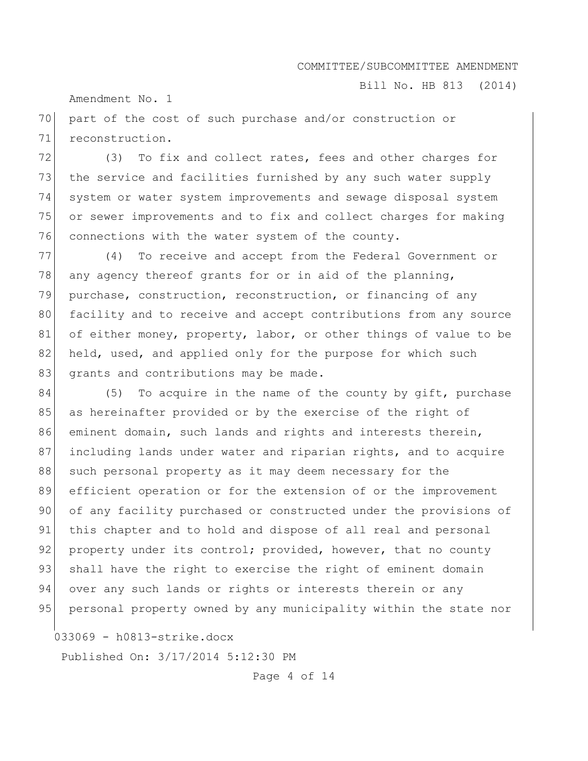Bill No. HB 813 (2014)

Amendment No. 1

70 part of the cost of such purchase and/or construction or 71 reconstruction.

72 (3) To fix and collect rates, fees and other charges for 73 the service and facilities furnished by any such water supply 74 system or water system improvements and sewage disposal system 75 or sewer improvements and to fix and collect charges for making 76 connections with the water system of the county.

77 (4) To receive and accept from the Federal Government or 78 any agency thereof grants for or in aid of the planning, 79 purchase, construction, reconstruction, or financing of any 80 facility and to receive and accept contributions from any source 81 of either money, property, labor, or other things of value to be 82 held, used, and applied only for the purpose for which such 83 grants and contributions may be made.

84 (5) To acquire in the name of the county by gift, purchase 85 as hereinafter provided or by the exercise of the right of 86 eminent domain, such lands and rights and interests therein, 87 including lands under water and riparian rights, and to acquire 88 such personal property as it may deem necessary for the 89 efficient operation or for the extension of or the improvement 90 of any facility purchased or constructed under the provisions of 91 this chapter and to hold and dispose of all real and personal 92 property under its control; provided, however, that no county 93 shall have the right to exercise the right of eminent domain 94 over any such lands or rights or interests therein or any 95 personal property owned by any municipality within the state nor

033069 - h0813-strike.docx

Published On: 3/17/2014 5:12:30 PM

Page 4 of 14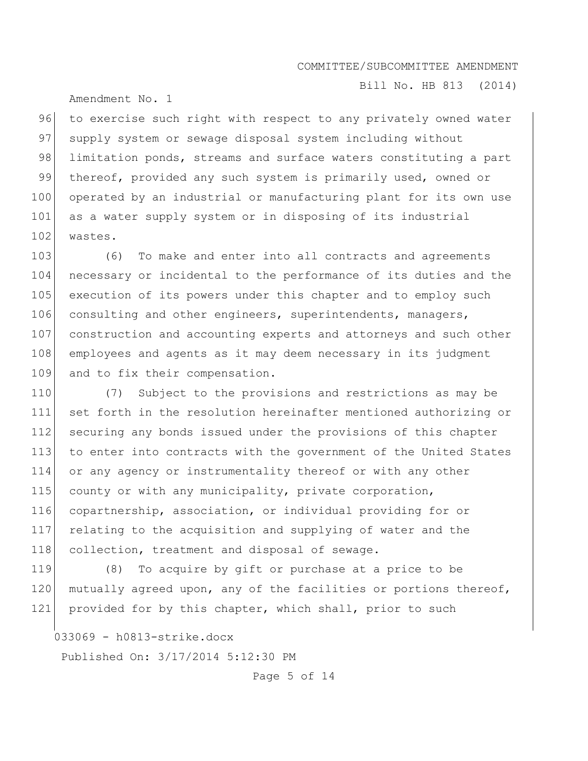Amendment No. 1

Bill No. HB 813 (2014)

96 to exercise such right with respect to any privately owned water 97 supply system or sewage disposal system including without 98 limitation ponds, streams and surface waters constituting a part 99 thereof, provided any such system is primarily used, owned or 100 operated by an industrial or manufacturing plant for its own use 101 as a water supply system or in disposing of its industrial 102 wastes.

103 (6) To make and enter into all contracts and agreements 104 necessary or incidental to the performance of its duties and the 105 execution of its powers under this chapter and to employ such 106 consulting and other engineers, superintendents, managers, 107 construction and accounting experts and attorneys and such other 108 employees and agents as it may deem necessary in its judgment 109 and to fix their compensation.

 (7) Subject to the provisions and restrictions as may be set forth in the resolution hereinafter mentioned authorizing or 112 securing any bonds issued under the provisions of this chapter to enter into contracts with the government of the United States or any agency or instrumentality thereof or with any other 115 county or with any municipality, private corporation, copartnership, association, or individual providing for or relating to the acquisition and supplying of water and the 118 collection, treatment and disposal of sewage.

119 (8) To acquire by gift or purchase at a price to be 120 mutually agreed upon, any of the facilities or portions thereof, 121 provided for by this chapter, which shall, prior to such

033069 - h0813-strike.docx

Published On: 3/17/2014 5:12:30 PM

Page 5 of 14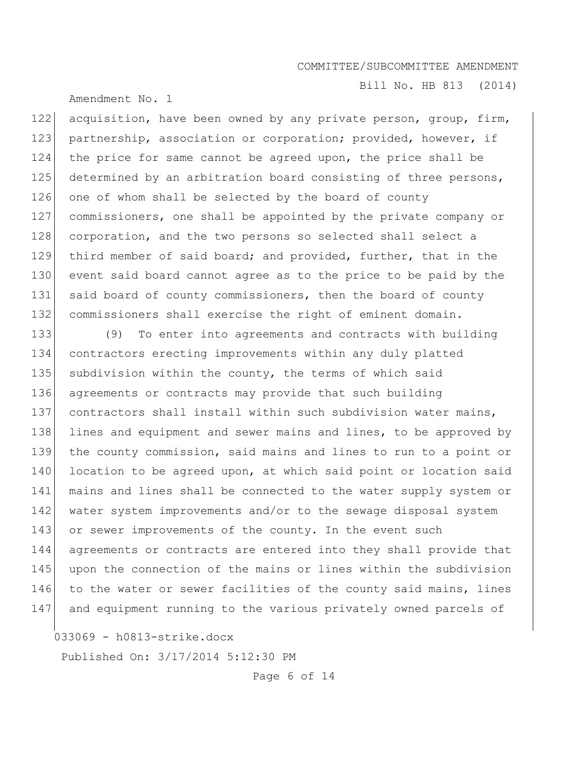Amendment No. 1

Bill No. HB 813 (2014)

122 acquisition, have been owned by any private person, group, firm, 123 partnership, association or corporation; provided, however, if 124 the price for same cannot be agreed upon, the price shall be 125 determined by an arbitration board consisting of three persons, 126 one of whom shall be selected by the board of county 127 commissioners, one shall be appointed by the private company or 128 corporation, and the two persons so selected shall select a 129 third member of said board; and provided, further, that in the 130 event said board cannot agree as to the price to be paid by the 131 said board of county commissioners, then the board of county 132 commissioners shall exercise the right of eminent domain.

133 (9) To enter into agreements and contracts with building 134 contractors erecting improvements within any duly platted 135 subdivision within the county, the terms of which said 136 agreements or contracts may provide that such building 137 contractors shall install within such subdivision water mains, 138 lines and equipment and sewer mains and lines, to be approved by 139 the county commission, said mains and lines to run to a point or 140 location to be agreed upon, at which said point or location said 141 mains and lines shall be connected to the water supply system or 142 water system improvements and/or to the sewage disposal system 143 or sewer improvements of the county. In the event such 144 agreements or contracts are entered into they shall provide that 145 upon the connection of the mains or lines within the subdivision 146 to the water or sewer facilities of the county said mains, lines 147 and equipment running to the various privately owned parcels of

033069 - h0813-strike.docx

Published On: 3/17/2014 5:12:30 PM

Page 6 of 14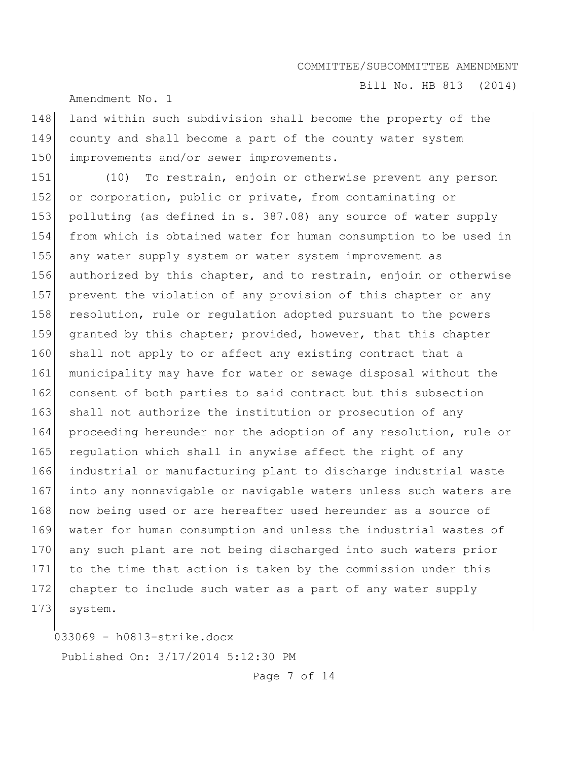Bill No. HB 813 (2014)

Amendment No. 1

148 land within such subdivision shall become the property of the 149 county and shall become a part of the county water system 150 improvements and/or sewer improvements.

151 (10) To restrain, enjoin or otherwise prevent any person 152 or corporation, public or private, from contaminating or 153 polluting (as defined in s. 387.08) any source of water supply 154 from which is obtained water for human consumption to be used in 155 any water supply system or water system improvement as 156 authorized by this chapter, and to restrain, enjoin or otherwise 157 prevent the violation of any provision of this chapter or any 158 resolution, rule or regulation adopted pursuant to the powers 159 granted by this chapter; provided, however, that this chapter 160 shall not apply to or affect any existing contract that a 161 municipality may have for water or sewage disposal without the 162 consent of both parties to said contract but this subsection 163 shall not authorize the institution or prosecution of any 164 proceeding hereunder nor the adoption of any resolution, rule or 165 regulation which shall in anywise affect the right of any 166 industrial or manufacturing plant to discharge industrial waste 167 into any nonnavigable or navigable waters unless such waters are 168 now being used or are hereafter used hereunder as a source of 169 water for human consumption and unless the industrial wastes of 170 any such plant are not being discharged into such waters prior 171 to the time that action is taken by the commission under this 172 chapter to include such water as a part of any water supply 173 system.

033069 - h0813-strike.docx Published On: 3/17/2014 5:12:30 PM

Page 7 of 14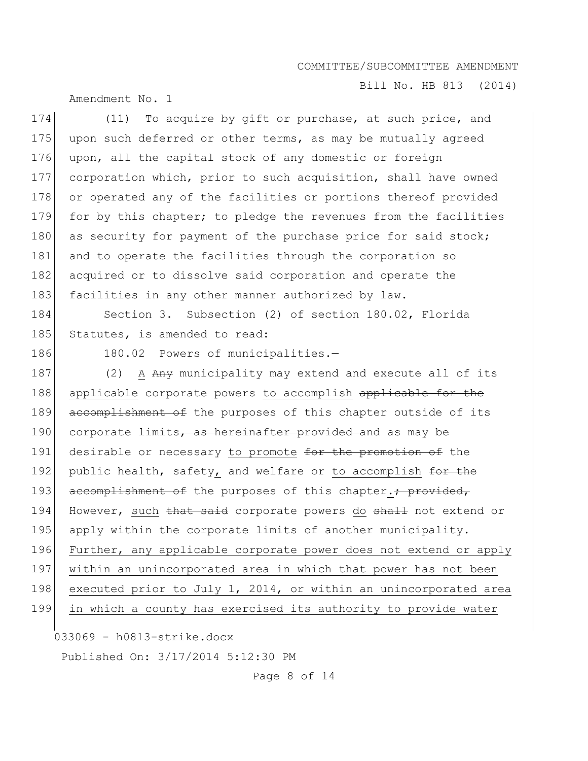Bill No. HB 813 (2014)

Amendment No. 1

174 (11) To acquire by gift or purchase, at such price, and 175 upon such deferred or other terms, as may be mutually agreed 176 upon, all the capital stock of any domestic or foreign 177 corporation which, prior to such acquisition, shall have owned 178 or operated any of the facilities or portions thereof provided 179 for by this chapter; to pledge the revenues from the facilities 180 as security for payment of the purchase price for said stock; 181 and to operate the facilities through the corporation so 182 acquired or to dissolve said corporation and operate the 183 facilities in any other manner authorized by law. 184 Section 3. Subsection (2) of section 180.02, Florida 185 Statutes, is amended to read: 186 180.02 Powers of municipalities.-187 (2) A Any municipality may extend and execute all of its 188 applicable corporate powers to accomplish applicable for the 189 accomplishment of the purposes of this chapter outside of its 190 corporate limits, as hereinafter provided and as may be 191 desirable or necessary to promote for the promotion of the 192 public health, safety, and welfare or to accomplish for the 193 accomplishment of the purposes of this chapter.; provided, 194 However, such that said corporate powers do shall not extend or 195 apply within the corporate limits of another municipality. 196 Further, any applicable corporate power does not extend or apply 197 within an unincorporated area in which that power has not been 198 executed prior to July 1, 2014, or within an unincorporated area

199 in which a county has exercised its authority to provide water

033069 - h0813-strike.docx

Published On: 3/17/2014 5:12:30 PM

Page 8 of 14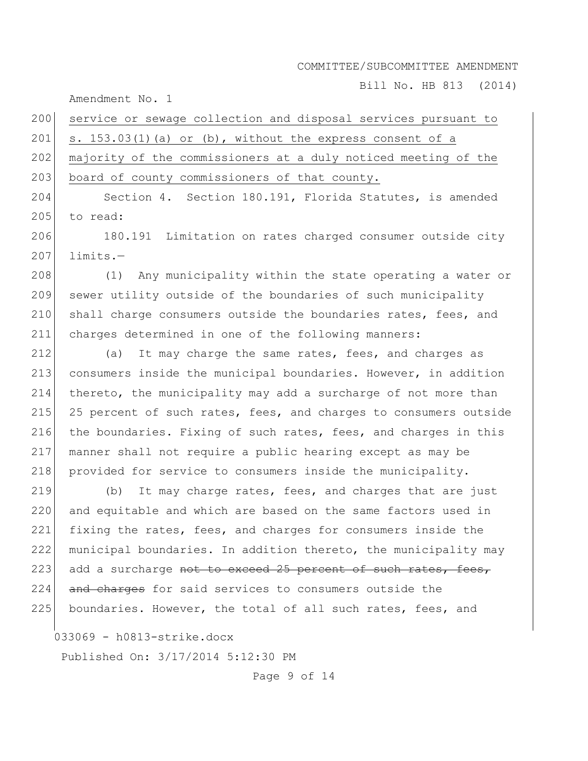Bill No. HB 813 (2014)

Amendment No. 1

200 service or sewage collection and disposal services pursuant to 201 s. 153.03(1)(a) or (b), without the express consent of a 202 majority of the commissioners at a duly noticed meeting of the 203 board of county commissioners of that county.

204 Section 4. Section 180.191, Florida Statutes, is amended 205 to read:

206 180.191 Limitation on rates charged consumer outside city  $207$  limits. $-$ 

208 (1) Any municipality within the state operating a water or 209 sewer utility outside of the boundaries of such municipality 210 shall charge consumers outside the boundaries rates, fees, and 211 charges determined in one of the following manners:

212  $\vert$  (a) It may charge the same rates, fees, and charges as 213 consumers inside the municipal boundaries. However, in addition 214 thereto, the municipality may add a surcharge of not more than 215 25 percent of such rates, fees, and charges to consumers outside 216 the boundaries. Fixing of such rates, fees, and charges in this 217 manner shall not require a public hearing except as may be 218 provided for service to consumers inside the municipality.

219  $\vert$  (b) It may charge rates, fees, and charges that are just 220 and equitable and which are based on the same factors used in 221 fixing the rates, fees, and charges for consumers inside the 222 municipal boundaries. In addition thereto, the municipality may 223 add a surcharge not to exceed 25 percent of such rates, fees, 224 and charges for said services to consumers outside the 225 boundaries. However, the total of all such rates, fees, and

033069 - h0813-strike.docx

Published On: 3/17/2014 5:12:30 PM

Page 9 of 14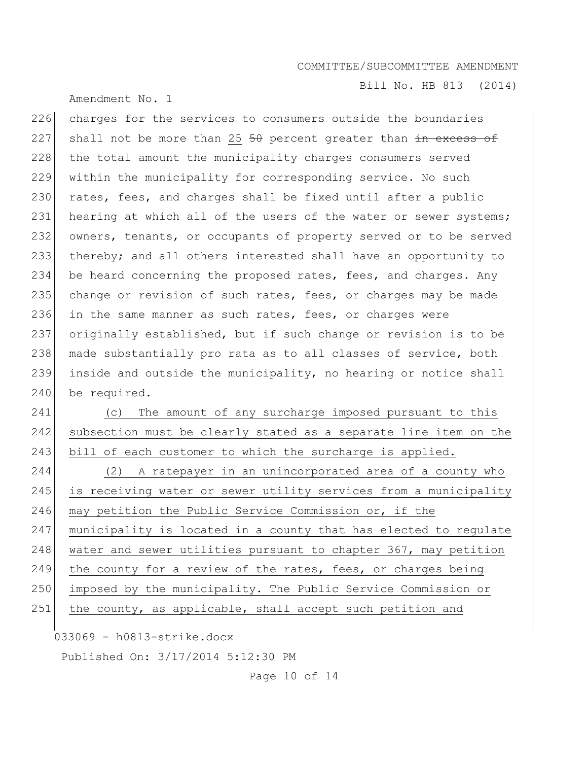Amendment No. 1

Bill No. HB 813 (2014)

226 charges for the services to consumers outside the boundaries 227 shall not be more than 25  $50$  percent greater than  $\frac{1}{100}$  excess of 228 the total amount the municipality charges consumers served 229 within the municipality for corresponding service. No such 230 rates, fees, and charges shall be fixed until after a public 231 hearing at which all of the users of the water or sewer systems; 232 owners, tenants, or occupants of property served or to be served 233 thereby; and all others interested shall have an opportunity to 234 be heard concerning the proposed rates, fees, and charges. Any 235 change or revision of such rates, fees, or charges may be made 236 in the same manner as such rates, fees, or charges were 237 originally established, but if such change or revision is to be 238 made substantially pro rata as to all classes of service, both 239 inside and outside the municipality, no hearing or notice shall 240 be required.

241 (c) The amount of any surcharge imposed pursuant to this 242 subsection must be clearly stated as a separate line item on the 243 bill of each customer to which the surcharge is applied. 244 (2) A ratepayer in an unincorporated area of a county who 245 is receiving water or sewer utility services from a municipality 246 may petition the Public Service Commission or, if the 247 municipality is located in a county that has elected to regulate 248 water and sewer utilities pursuant to chapter 367, may petition 249 the county for a review of the rates, fees, or charges being 250 imposed by the municipality. The Public Service Commission or 251 the county, as applicable, shall accept such petition and

033069 - h0813-strike.docx

Published On: 3/17/2014 5:12:30 PM

Page 10 of 14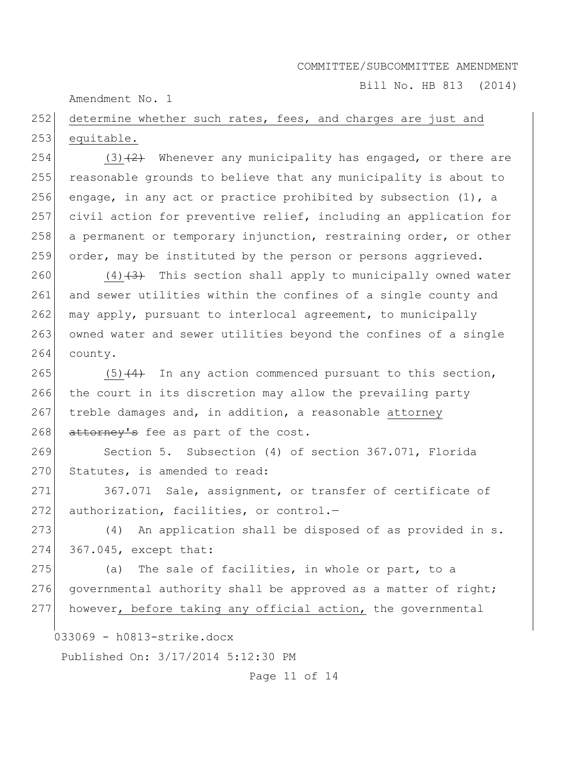Bill No. HB 813 (2014)

Amendment No. 1

252 determine whether such rates, fees, and charges are just and 253 equitable.

254 (3)<del>(2)</del> Whenever any municipality has engaged, or there are 255 reasonable grounds to believe that any municipality is about to 256 engage, in any act or practice prohibited by subsection  $(1)$ , a 257 civil action for preventive relief, including an application for 258 a permanent or temporary injunction, restraining order, or other 259 order, may be instituted by the person or persons aggrieved.

260  $(4)$   $(3)$  This section shall apply to municipally owned water 261 and sewer utilities within the confines of a single county and  $262$  may apply, pursuant to interlocal agreement, to municipally 263 owned water and sewer utilities beyond the confines of a single 264 county.

265  $(5)$   $(4)$  In any action commenced pursuant to this section, 266 the court in its discretion may allow the prevailing party 267 treble damages and, in addition, a reasonable attorney 268 attorney's fee as part of the cost.

269 Section 5. Subsection (4) of section 367.071, Florida 270 Statutes, is amended to read:

271 367.071 Sale, assignment, or transfer of certificate of 272 authorization, facilities, or control.-

 $273$  (4) An application shall be disposed of as provided in s. 274 367.045, except that:

275 (a) The sale of facilities, in whole or part, to a 276 governmental authority shall be approved as a matter of right; 277 however, before taking any official action, the governmental

033069 - h0813-strike.docx

Published On: 3/17/2014 5:12:30 PM

Page 11 of 14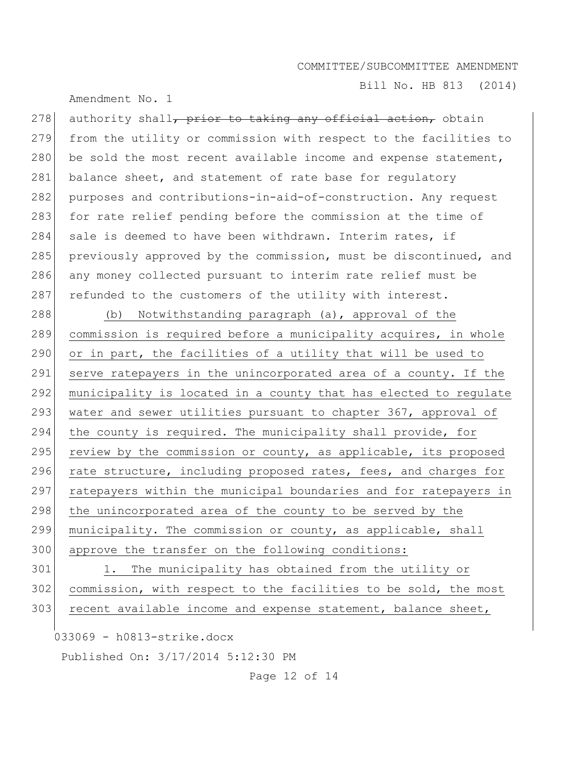Bill No. HB 813 (2014)

Amendment No. 1

278 authority shall<del>, prior to taking any official action,</del> obtain 279 from the utility or commission with respect to the facilities to 280 be sold the most recent available income and expense statement, 281 balance sheet, and statement of rate base for regulatory 282 purposes and contributions-in-aid-of-construction. Any request 283 for rate relief pending before the commission at the time of 284 sale is deemed to have been withdrawn. Interim rates, if 285 previously approved by the commission, must be discontinued, and 286 any money collected pursuant to interim rate relief must be 287 refunded to the customers of the utility with interest.

288 (b) Notwithstanding paragraph (a), approval of the 289 commission is required before a municipality acquires, in whole 290 or in part, the facilities of a utility that will be used to 291 serve ratepayers in the unincorporated area of a county. If the 292 municipality is located in a county that has elected to regulate 293 water and sewer utilities pursuant to chapter 367, approval of 294 the county is required. The municipality shall provide, for 295 review by the commission or county, as applicable, its proposed 296 rate structure, including proposed rates, fees, and charges for 297 ratepayers within the municipal boundaries and for ratepayers in 298 the unincorporated area of the county to be served by the 299 municipality. The commission or county, as applicable, shall 300 approve the transfer on the following conditions:

301 1. The municipality has obtained from the utility or 302 commission, with respect to the facilities to be sold, the most  $303$  recent available income and expense statement, balance sheet,

033069 - h0813-strike.docx

Published On: 3/17/2014 5:12:30 PM

Page 12 of 14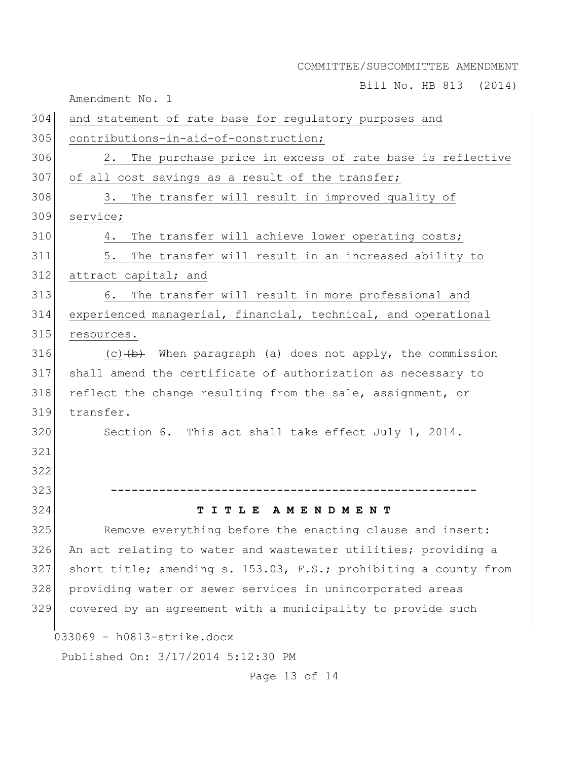Bill No. HB 813 (2014)

Amendment No. 1

033069 - h0813-strike.docx Published On: 3/17/2014 5:12:30 PM 304 and statement of rate base for regulatory purposes and 305 contributions-in-aid-of-construction; 306 2. The purchase price in excess of rate base is reflective 307 of all cost savings as a result of the transfer; 308 3. The transfer will result in improved quality of 309 service; 310 4. The transfer will achieve lower operating costs; 311 5. The transfer will result in an increased ability to 312 attract capital; and 313 6. The transfer will result in more professional and 314 experienced managerial, financial, technical, and operational 315 resources. 316 (c)  $\left(\frac{b}{b}\right)$  When paragraph (a) does not apply, the commission 317 shall amend the certificate of authorization as necessary to 318 reflect the change resulting from the sale, assignment, or 319 transfer. 320 Section 6. This act shall take effect July 1, 2014. 321 322 323 **-----------------------------------------------------** 324 **T I T L E A M E N D M E N T** 325 Remove everything before the enacting clause and insert: 326 An act relating to water and wastewater utilities; providing a 327 short title; amending s. 153.03, F.S.; prohibiting a county from 328 providing water or sewer services in unincorporated areas 329 covered by an agreement with a municipality to provide such

Page 13 of 14